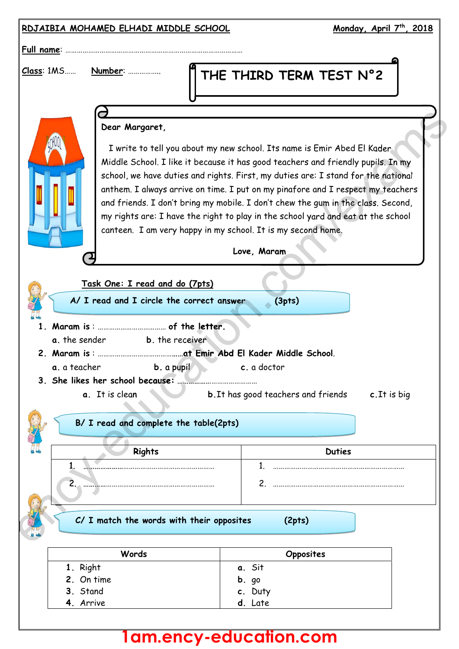

## **1am.ency-education.com**